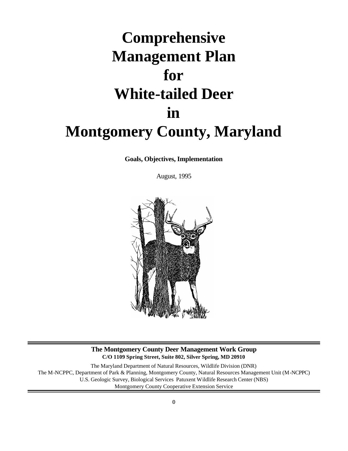# **Comprehensive Management Plan for White-tailed Deer in Montgomery County, Maryland**

**Goals, Objectives, Implementation** 

August, 1995



#### **The Montgomery County Deer Management Work Group C/O 1109 Spring Street, Suite 802, Silver Spring, MD 20910**

The Maryland Department of Natural Resources, Wildlife Division (DNR) The M-NCPPC, Department of Park & Planning, Montgomery County, Natural Resources Management Unit (M-NCPPC) U.S. Geologic Survey, Biological Services Patuxent Wildlife Research Center (NBS) Montgomery County Cooperative Extension Service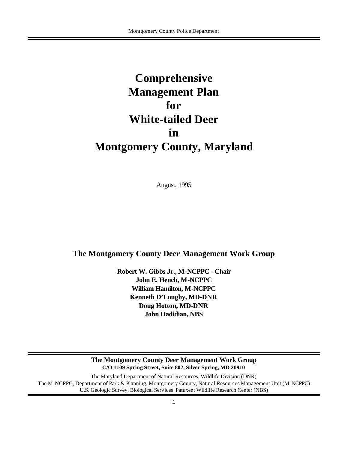# **Comprehensive Management Plan for White-tailed Deer in Montgomery County, Maryland**

August, 1995

# **The Montgomery County Deer Management Work Group**

**Robert W. Gibbs Jr., M-NCPPC - Chair John E. Hench, M-NCPPC William Hamilton, M-NCPPC Kenneth D'Loughy, MD-DNR Doug Hotton, MD-DNR John Hadidian, NBS**

**The Montgomery County Deer Management Work Group C/O 1109 Spring Street, Suite 802, Silver Spring, MD 20910** The Maryland Department of Natural Resources, Wildlife Division (DNR) The M-NCPPC, Department of Park & Planning, Montgomery County, Natural Resources Management Unit (M-NCPPC) U.S. Geologic Survey, Biological Services Patuxent Wildlife Research Center (NBS)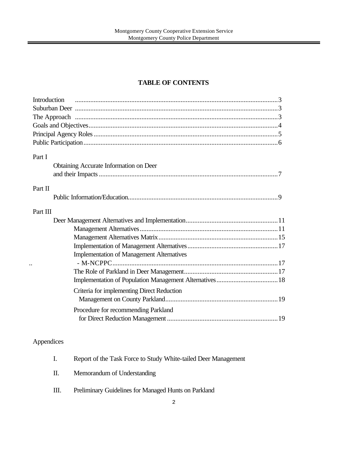# **TABLE OF CONTENTS**

| Introduction                                     |  |
|--------------------------------------------------|--|
|                                                  |  |
|                                                  |  |
|                                                  |  |
|                                                  |  |
|                                                  |  |
|                                                  |  |
| Part I                                           |  |
| Obtaining Accurate Information on Deer           |  |
|                                                  |  |
|                                                  |  |
| Part II                                          |  |
|                                                  |  |
| Part III                                         |  |
|                                                  |  |
|                                                  |  |
|                                                  |  |
|                                                  |  |
| <b>Implementation of Management Alternatives</b> |  |
|                                                  |  |
|                                                  |  |
|                                                  |  |
| Criteria for implementing Direct Reduction       |  |
|                                                  |  |
|                                                  |  |
| Procedure for recommending Parkland              |  |
|                                                  |  |
|                                                  |  |

# Appendices

| Report of the Task Force to Study White-tailed Deer Management |
|----------------------------------------------------------------|
|                                                                |

- II. Memorandum of Understanding
- III. Preliminary Guidelines for Managed Hunts on Parkland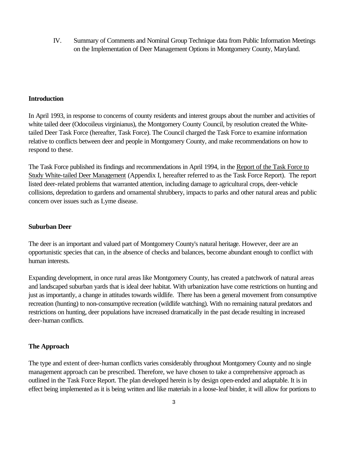IV. Summary of Comments and Nominal Group Technique data from Public Information Meetings on the Implementation of Deer Management Options in Montgomery County, Maryland.

#### **Introduction**

In April 1993, in response to concerns of county residents and interest groups about the number and activities of white tailed deer (Odocoileus virginianus), the Montgomery County Council, by resolution created the Whitetailed Deer Task Force (hereafter, Task Force). The Council charged the Task Force to examine information relative to conflicts between deer and people in Montgomery County, and make recommendations on how to respond to these.

The Task Force published its findings and recommendations in April 1994, in the Report of the Task Force to Study White-tailed Deer Management (Appendix I, hereafter referred to as the Task Force Report). The report listed deer-related problems that warranted attention, including damage to agricultural crops, deer-vehicle collisions, depredation to gardens and ornamental shrubbery, impacts to parks and other natural areas and public concern over issues such as Lyme disease.

#### **Suburban Deer**

The deer is an important and valued part of Montgomery County's natural heritage. However, deer are an opportunistic species that can, in the absence of checks and balances, become abundant enough to conflict with human interests.

Expanding development, in once rural areas like Montgomery County, has created a patchwork of natural areas and landscaped suburban yards that is ideal deer habitat. With urbanization have come restrictions on hunting and just as importantly, a change in attitudes towards wildlife. There has been a general movement from consumptive recreation (hunting) to non-consumptive recreation (wildlife watching). With no remaining natural predators and restrictions on hunting, deer populations have increased dramatically in the past decade resulting in increased deer-human conflicts.

#### **The Approach**

The type and extent of deer-human conflicts varies considerably throughout Montgomery County and no single management approach can be prescribed. Therefore, we have chosen to take a comprehensive approach as outlined in the Task Force Report. The plan developed herein is by design open-ended and adaptable. It is in effect being implemented as it is being written and like materials in a loose-leaf binder, it will allow for portions to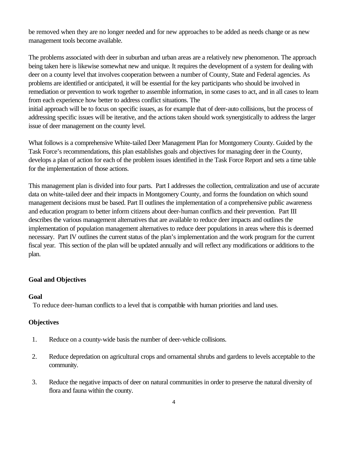be removed when they are no longer needed and for new approaches to be added as needs change or as new management tools become available.

The problems associated with deer in suburban and urban areas are a relatively new phenomenon. The approach being taken here is likewise somewhat new and unique. It requires the development of a system for dealing with deer on a county level that involves cooperation between a number of County, State and Federal agencies. As problems are identified or anticipated, it will be essential for the key participants who should be involved in remediation or prevention to work together to assemble information, in some cases to act, and in all cases to learn from each experience how better to address conflict situations. The

initial approach will be to focus on specific issues, as for example that of deer-auto collisions, but the process of addressing specific issues will be iterative, and the actions taken should work synergistically to address the larger issue of deer management on the county level.

What follows is a comprehensive White-tailed Deer Management Plan for Montgomery County. Guided by the Task Force's recommendations, this plan establishes goals and objectives for managing deer in the County, develops a plan of action for each of the problem issues identified in the Task Force Report and sets a time table for the implementation of those actions.

This management plan is divided into four parts. Part I addresses the collection, centralization and use of accurate data on white-tailed deer and their impacts in Montgomery County, and forms the foundation on which sound management decisions must be based. Part II outlines the implementation of a comprehensive public awareness and education program to better inform citizens about deer-human conflicts and their prevention. Part III describes the various management alternatives that are available to reduce deer impacts and outlines the implementation of population management alternatives to reduce deer populations in areas where this is deemed necessary. Part IV outlines the current status of the plan's implementation and the work program for the current fiscal year. This section of the plan will be updated annually and will reflect any modifications or additions to the plan.

#### **Goal and Objectives**

#### **Goal**

To reduce deer-human conflicts to a level that is compatible with human priorities and land uses.

#### **Objectives**

- 1. Reduce on a county-wide basis the number of deer-vehicle collisions.
- 2. Reduce depredation on agricultural crops and ornamental shrubs and gardens to levels acceptable to the community.
- 3. Reduce the negative impacts of deer on natural communities in order to preserve the natural diversity of flora and fauna within the county.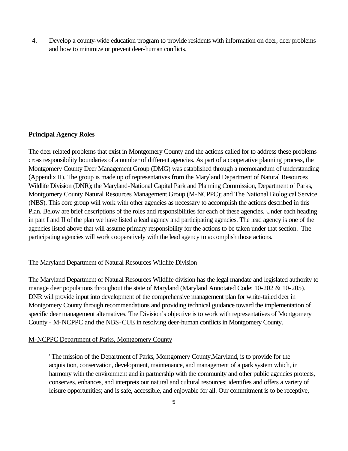4. Develop a county-wide education program to provide residents with information on deer, deer problems and how to minimize or prevent deer-human conflicts.

#### **Principal Agency Roles**

The deer related problems that exist in Montgomery County and the actions called for to address these problems cross responsibility boundaries of a number of different agencies. As part of a cooperative planning process, the Montgomery County Deer Management Group (DMG) was established through a memorandum of understanding (Appendix II). The group is made up of representatives from the Maryland Department of Natural Resources Wildlife Division (DNR); the Maryland-National Capital Park and Planning Commission, Department of Parks, Montgomery County Natural Resources Management Group (M-NCPPC); and The National Biological Service (NBS). This core group will work with other agencies as necessary to accomplish the actions described in this Plan. Below are brief descriptions of the roles and responsibilities for each of these agencies. Under each heading in part I and II of the plan we have listed a lead agency and participating agencies. The lead agency is one of the agencies listed above that will assume primary responsibility for the actions to be taken under that section. The participating agencies will work cooperatively with the lead agency to accomplish those actions.

#### The Maryland Department of Natural Resources Wildlife Division

The Maryland Department of Natural Resources Wildlife division has the legal mandate and legislated authority to manage deer populations throughout the state of Maryland (Maryland Annotated Code: 10-202 & 10-205). DNR will provide input into development of the comprehensive management plan for white-tailed deer in Montgomery County through recommendations and providing technical guidance toward the implementation of specific deer management alternatives. The Division's objective is to work with representatives of Montgomery County - M-NCPPC and the NBS-CUE in resolving deer-human conflicts in Montgomery County.

#### M-NCPPC Department of Parks, Montgomery County

"The mission of the Department of Parks, Montgomery County,Maryland, is to provide for the acquisition, conservation, development, maintenance, and management of a park system which, in harmony with the environment and in partnership with the community and other public agencies protects, conserves, enhances, and interprets our natural and cultural resources; identifies and offers a variety of leisure opportunities; and is safe, accessible, and enjoyable for all. Our commitment is to be receptive,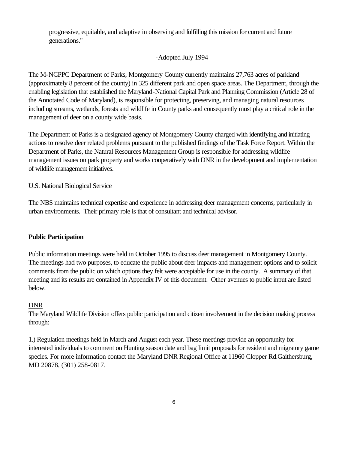progressive, equitable, and adaptive in observing and fulfilling this mission for current and future generations."

#### -Adopted July 1994

The M-NCPPC Department of Parks, Montgomery County currently maintains 27,763 acres of parkland (approximately 8 percent of the county) in 325 different park and open space areas. The Department, through the enabling legislation that established the Maryland-National Capital Park and Planning Commission (Article 28 of the Annotated Code of Maryland), is responsible for protecting, preserving, and managing natural resources including streams, wetlands, forests and wildlife in County parks and consequently must play a critical role in the management of deer on a county wide basis.

The Department of Parks is a designated agency of Montgomery County charged with identifying and initiating actions to resolve deer related problems pursuant to the published findings of the Task Force Report. Within the Department of Parks, the Natural Resources Management Group is responsible for addressing wildlife management issues on park property and works cooperatively with DNR in the development and implementation of wildlife management initiatives.

#### U.S. National Biological Service

The NBS maintains technical expertise and experience in addressing deer management concerns, particularly in urban environments. Their primary role is that of consultant and technical advisor.

#### **Public Participation**

Public information meetings were held in October 1995 to discuss deer management in Montgomery County. The meetings had two purposes, to educate the public about deer impacts and management options and to solicit comments from the public on which options they felt were acceptable for use in the county. A summary of that meeting and its results are contained in Appendix IV of this document. Other avenues to public input are listed below.

#### DNR

The Maryland Wildlife Division offers public participation and citizen involvement in the decision making process through:

1.) Regulation meetings held in March and August each year. These meetings provide an opportunity for interested individuals to comment on Hunting season date and bag limit proposals for resident and migratory game species. For more information contact the Maryland DNR Regional Office at 11960 Clopper Rd.Gaithersburg, MD 20878, (301) 258-0817.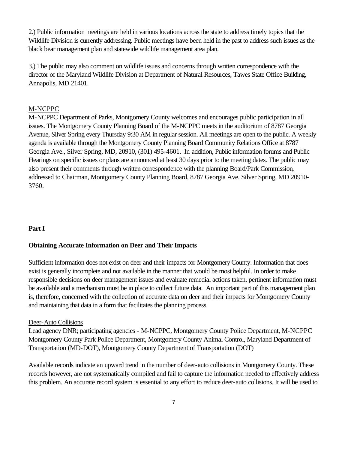2.) Public information meetings are held in various locations across the state to address timely topics that the Wildlife Division is currently addressing. Public meetings have been held in the past to address such issues as the black bear management plan and statewide wildlife management area plan.

3.) The public may also comment on wildlife issues and concerns through written correspondence with the director of the Maryland Wildlife Division at Department of Natural Resources, Tawes State Office Building, Annapolis, MD 21401.

#### M-NCPPC

M-NCPPC Department of Parks, Montgomery County welcomes and encourages public participation in all issues. The Montgomery County Planning Board of the M-NCPPC meets in the auditorium of 8787 Georgia Avenue, Silver Spring every Thursday 9:30 AM in regular session. All meetings are open to the public. A weekly agenda is available through the Montgomery County Planning Board Community Relations Office at 8787 Georgia Ave., Silver Spring, MD, 20910, (301) 495-4601. In addition, Public information forums and Public Hearings on specific issues or plans are announced at least 30 days prior to the meeting dates. The public may also present their comments through written correspondence with the planning Board/Park Commission, addressed to Chairman, Montgomery County Planning Board, 8787 Georgia Ave. Silver Spring, MD 20910- 3760.

#### **Part I**

#### **Obtaining Accurate Information on Deer and Their Impacts**

Sufficient information does not exist on deer and their impacts for Montgomery County. Information that does exist is generally incomplete and not available in the manner that would be most helpful. In order to make responsible decisions on deer management issues and evaluate remedial actions taken, pertinent information must be available and a mechanism must be in place to collect future data. An important part of this management plan is, therefore, concerned with the collection of accurate data on deer and their impacts for Montgomery County and maintaining that data in a form that facilitates the planning process.

#### Deer-Auto Collisions

Lead agency DNR; participating agencies - M-NCPPC, Montgomery County Police Department, M-NCPPC Montgomery County Park Police Department, Montgomery County Animal Control, Maryland Department of Transportation (MD-DOT), Montgomery County Department of Transportation (DOT)

Available records indicate an upward trend in the number of deer-auto collisions in Montgomery County. These records however, are not systematically compiled and fail to capture the information needed to effectively address this problem. An accurate record system is essential to any effort to reduce deer-auto collisions. It will be used to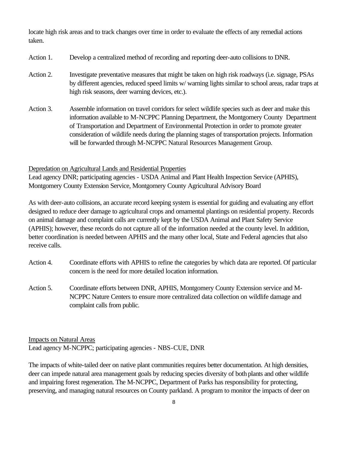locate high risk areas and to track changes over time in order to evaluate the effects of any remedial actions taken.

- Action 1. Develop a centralized method of recording and reporting deer-auto collisions to DNR.
- Action 2. Investigate preventative measures that might be taken on high risk roadways (i.e. signage, PSAs by different agencies, reduced speed limits w/ warning lights similar to school areas, radar traps at high risk seasons, deer warning devices, etc.).
- Action 3. Assemble information on travel corridors for select wildlife species such as deer and make this information available to M-NCPPC Planning Department, the Montgomery County Department of Transportation and Department of Environmental Protection in order to promote greater consideration of wildlife needs during the planning stages of transportation projects. Information will be forwarded through M-NCPPC Natural Resources Management Group.

#### Depredation on Agricultural Lands and Residential Properties

Lead agency DNR; participating agencies - USDA Animal and Plant Health Inspection Service (APHIS), Montgomery County Extension Service, Montgomery County Agricultural Advisory Board

As with deer-auto collisions, an accurate record keeping system is essential for guiding and evaluating any effort designed to reduce deer damage to agricultural crops and ornamental plantings on residential property. Records on animal damage and complaint calls are currently kept by the USDA Animal and Plant Safety Service (APHIS); however, these records do not capture all of the information needed at the county level. In addition, better coordination is needed between APHIS and the many other local, State and Federal agencies that also receive calls.

- Action 4. Coordinate efforts with APHIS to refine the categories by which data are reported. Of particular concern is the need for more detailed location information.
- Action 5. Coordinate efforts between DNR, APHIS, Montgomery County Extension service and M-NCPPC Nature Centers to ensure more centralized data collection on wildlife damage and complaint calls from public.

Impacts on Natural Areas Lead agency M-NCPPC; participating agencies - NBS-CUE, DNR

The impacts of white-tailed deer on native plant communities requires better documentation. At high densities, deer can impede natural area management goals by reducing species diversity of both plants and other wildlife and impairing forest regeneration. The M-NCPPC, Department of Parks has responsibility for protecting, preserving, and managing natural resources on County parkland. A program to monitor the impacts of deer on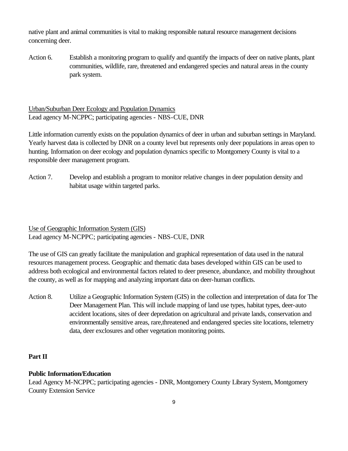native plant and animal communities is vital to making responsible natural resource management decisions concerning deer.

Action 6. Establish a monitoring program to qualify and quantify the impacts of deer on native plants, plant communities, wildlife, rare, threatened and endangered species and natural areas in the county park system.

Urban/Suburban Deer Ecology and Population Dynamics Lead agency M-NCPPC; participating agencies - NBS-CUE, DNR

Little information currently exists on the population dynamics of deer in urban and suburban settings in Maryland. Yearly harvest data is collected by DNR on a county level but represents only deer populations in areas open to hunting. Information on deer ecology and population dynamics specific to Montgomery County is vital to a responsible deer management program.

Action 7. Develop and establish a program to monitor relative changes in deer population density and habitat usage within targeted parks.

Use of Geographic Information System (GIS) Lead agency M-NCPPC; participating agencies - NBS-CUE, DNR

The use of GIS can greatly facilitate the manipulation and graphical representation of data used in the natural resources management process. Geographic and thematic data bases developed within GIS can be used to address both ecological and environmental factors related to deer presence, abundance, and mobility throughout the county, as well as for mapping and analyzing important data on deer-human conflicts.

Action 8. Utilize a Geographic Information System (GIS) in the collection and interpretation of data for The Deer Management Plan. This will include mapping of land use types, habitat types, deer-auto accident locations, sites of deer depredation on agricultural and private lands, conservation and environmentally sensitive areas, rare,threatened and endangered species site locations, telemetry data, deer exclosures and other vegetation monitoring points.

# **Part II**

# **Public Information/Education**

Lead Agency M-NCPPC; participating agencies - DNR, Montgomery County Library System, Montgomery County Extension Service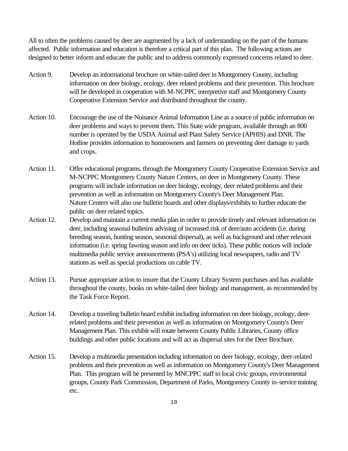All to often the problems caused by deer are augmented by a lack of understanding on the part of the humans affected. Public information and education is therefore a critical part of this plan. The following actions are designed to better inform and educate the public and to address commonly expressed concerns related to deer.

- Action 9. Develop an informational brochure on white-tailed deer in Montgomery County, including information on deer biology, ecology, deer related problems and their prevention. This brochure will be developed in cooperation with M-NCPPC interpretive staff and Montgomery County Cooperative Extension Service and distributed throughout the county.
- Action 10. Encourage the use of the Nuisance Animal Information Line as a source of public information on deer problems and ways to prevent them. This State wide program, available through an 800 number is operated by the USDA Animal and Plant Safety Service (APHIS) and DNR. The Hotline provides information to homeowners and farmers on preventing deer damage to yards and crops.
- Action 11. Offer educational programs, through the Montgomery County Cooperative Extension Service and M-NCPPC Montgomery County Nature Centers, on deer in Montgomery County. These programs will include information on deer biology, ecology, deer related problems and their prevention as well as information on Montgomery County's Deer Management Plan. Nature Centers will also use bulletin boards and other displays/exhibits to further educate the public on deer related topics.
- Action 12. Develop and maintain a current media plan in order to provide timely and relevant information on deer, including seasonal bulletins advising of increased risk of deer/auto accidents (i.e. during breeding season, hunting season, seasonal dispersal), as well as background and other relevant information (i.e. spring fawning season and info on deer ticks). These public notices will include multimedia public service announcements (PSA's) utilizing local newspapers, radio and TV stations as well as special productions on cable TV.
- Action 13. Pursue appropriate action to insure that the County Library System purchases and has available throughout the county, books on white-tailed deer biology and management, as recommended by the Task Force Report.
- Action 14. Develop a traveling bulletin board exhibit including information on deer biology, ecology, deerrelated problems and their prevention as well as information on Montgomery County's Deer Management Plan. This exhibit will rotate between County Public Libraries, County office buildings and other public locations and will act as dispersal sites for the Deer Brochure.
- Action 15. Develop a multimedia presentation including information on deer biology, ecology, deer-related problems and their prevention as well as information on Montgomery County's Deer Management Plan. This program will be presented by MNCPPC staff to local civic groups, environmental groups, County Park Commission, Department of Parks, Montgomery County in-service training etc.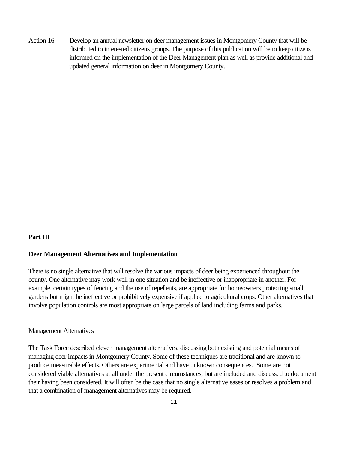Action 16. Develop an annual newsletter on deer management issues in Montgomery County that will be distributed to interested citizens groups. The purpose of this publication will be to keep citizens informed on the implementation of the Deer Management plan as well as provide additional and updated general information on deer in Montgomery County.

#### **Part III**

#### **Deer Management Alternatives and Implementation**

There is no single alternative that will resolve the various impacts of deer being experienced throughout the county. One alternative may work well in one situation and be ineffective or inappropriate in another. For example, certain types of fencing and the use of repellents, are appropriate for homeowners protecting small gardens but might be ineffective or prohibitively expensive if applied to agricultural crops. Other alternatives that involve population controls are most appropriate on large parcels of land including farms and parks.

#### Management Alternatives

The Task Force described eleven management alternatives, discussing both existing and potential means of managing deer impacts in Montgomery County. Some of these techniques are traditional and are known to produce measurable effects. Others are experimental and have unknown consequences. Some are not considered viable alternatives at all under the present circumstances, but are included and discussed to document their having been considered. It will often be the case that no single alternative eases or resolves a problem and that a combination of management alternatives may be required.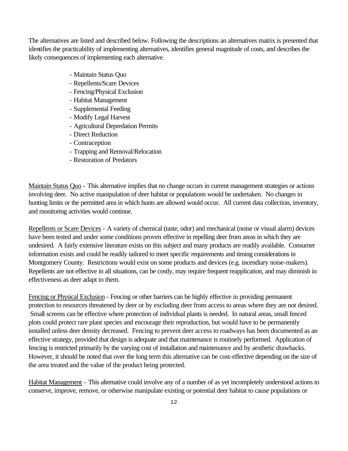The alternatives are listed and described below. Following the descriptions an alternatives matrix is presented that identifies the practicability of implementing alternatives, identifies general magnitude of costs, and describes the likely consequences of implementing each alternative.

- Maintain Status Quo
- Repellents/Scare Devices
- Fencing/Physical Exclusion
- Habitat Management
- Supplemental Feeding
- Modify Legal Harvest
- Agricultural Depredation Permits
- Direct Reduction
- Contraception
- Trapping and Removal/Relocation
- Restoration of Predators

Maintain Status Quo - This alternative implies that no change occurs in current management strategies or actions involving deer. No active manipulation of deer habitat or populations would be undertaken. No changes in hunting limits or the permitted area in which hunts are allowed would occur. All current data collection, inventory, and monitoring activities would continue.

Repellents or Scare Devices - A variety of chemical (taste, odor) and mechanical (noise or visual alarm) devices have been tested and under some conditions proven effective in repelling deer from areas in which they are undesired. A fairly extensive literature exists on this subject and many products are readily available. Consumer information exists and could be readily tailored to meet specific requirements and timing considerations in Montgomery County. Restrictions would exist on some products and devices (e.g. incendiary noise-makers). Repellents are not effective in all situations, can be costly, may require frequent reapplication, and may diminish in effectiveness as deer adapt to them.

Fencing or Physical Exclusion - Fencing or other barriers can be highly effective in providing permanent protection to resources threatened by deer or by excluding deer from access to areas where they are not desired. Small screens can be effective where protection of individual plants is needed. In natural areas, small fenced plots could protect rare plant species and encourage their reproduction, but would have to be permanently installed unless deer density decreased. Fencing to prevent deer access to roadways has been documented as an effective strategy, provided that design is adequate and that maintenance is routinely performed. Application of fencing is restricted primarily by the varying cost of installation and maintenance and by aesthetic drawbacks. However, it should be noted that over the long term this alternative can be cost-effective depending on the size of the area treated and the value of the product being protected.

Habitat Management - This alternative could involve any of a number of as yet incompletely understood actions to conserve, improve, remove, or otherwise manipulate existing or potential deer habitat to cause populations or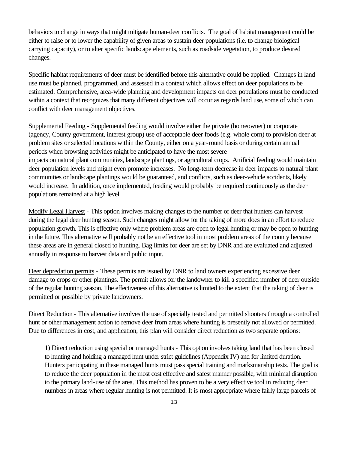behaviors to change in ways that might mitigate human-deer conflicts. The goal of habitat management could be either to raise or to lower the capability of given areas to sustain deer populations (i.e. to change biological carrying capacity), or to alter specific landscape elements, such as roadside vegetation, to produce desired changes.

Specific habitat requirements of deer must be identified before this alternative could be applied. Changes in land use must be planned, programmed, and assessed in a context which allows effect on deer populations to be estimated. Comprehensive, area-wide planning and development impacts on deer populations must be conducted within a context that recognizes that many different objectives will occur as regards land use, some of which can conflict with deer management objectives.

Supplemental Feeding - Supplemental feeding would involve either the private (homeowner) or corporate (agency, County government, interest group) use of acceptable deer foods (e.g. whole corn) to provision deer at problem sites or selected locations within the County, either on a year-round basis or during certain annual periods when browsing activities might be anticipated to have the most severe impacts on natural plant communities, landscape plantings, or agricultural crops. Artificial feeding would maintain deer population levels and might even promote increases. No long-term decrease in deer impacts to natural plant communities or landscape plantings would be guaranteed, and conflicts, such as deer-vehicle accidents, likely would increase. In addition, once implemented, feeding would probably be required continuously as the deer populations remained at a high level.

Modify Legal Harvest - This option involves making changes to the number of deer that hunters can harvest during the legal deer hunting season. Such changes might allow for the taking of more does in an effort to reduce population growth. This is effective only where problem areas are open to legal hunting or may be open to hunting in the future. This alternative will probably not be an effective tool in most problem areas of the county because these areas are in general closed to hunting. Bag limits for deer are set by DNR and are evaluated and adjusted annually in response to harvest data and public input.

Deer depredation permits - These permits are issued by DNR to land owners experiencing excessive deer damage to crops or other plantings. The permit allows for the landowner to kill a specified number of deer outside of the regular hunting season. The effectiveness of this alternative is limited to the extent that the taking of deer is permitted or possible by private landowners.

Direct Reduction - This alternative involves the use of specially tested and permitted shooters through a controlled hunt or other management action to remove deer from areas where hunting is presently not allowed or permitted. Due to differences in cost, and application, this plan will consider direct reduction as two separate options:

1) Direct reduction using special or managed hunts - This option involves taking land that has been closed to hunting and holding a managed hunt under strict guidelines (Appendix IV) and for limited duration. Hunters participating in these managed hunts must pass special training and marksmanship tests. The goal is to reduce the deer population in the most cost effective and safest manner possible, with minimal disruption to the primary land-use of the area. This method has proven to be a very effective tool in reducing deer numbers in areas where regular hunting is not permitted. It is most appropriate where fairly large parcels of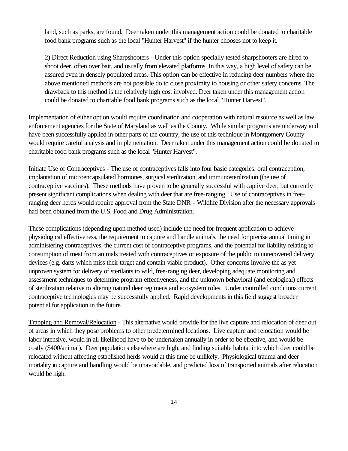land, such as parks, are found. Deer taken under this management action could be donated to charitable food bank programs such as the local "Hunter Harvest" if the hunter chooses not to keep it.

2) Direct Reduction using Sharpshooters - Under this option specially tested sharpshooters are hired to shoot deer, often over bait, and usually from elevated platforms. In this way, a high level of safety can be assured even in densely populated areas. This option can be effective in reducing deer numbers where the above mentioned methods are not possible do to close proximity to housing or other safety concerns. The drawback to this method is the relatively high cost involved. Deer taken under this management action could be donated to charitable food bank programs such as the local "Hunter Harvest".

Implementation of either option would require coordination and cooperation with natural resource as well as law enforcement agencies for the State of Maryland as well as the County. While similar programs are underway and have been successfully applied in other parts of the country, the use of this technique in Montgomery County would require careful analysis and implementation. Deer taken under this management action could be donated to charitable food bank programs such as the local "Hunter Harvest".

Initiate Use of Contraceptives - The use of contraceptives falls into four basic categories: oral contraception, implantation of microencapsulated hormones, surgical sterilization, and immunosterilization (the use of contraceptive vaccines). These methods have proven to be generally successful with captive deer, but currently present significant complications when dealing with deer that are free-ranging. Use of contraceptives in freeranging deer herds would require approval from the State DNR - Wildlife Division after the necessary approvals had been obtained from the U.S. Food and Drug Administration.

These complications (depending upon method used) include the need for frequent application to achieve physiological effectiveness, the requirement to capture and handle animals, the need for precise annual timing in administering contraceptives, the current cost of contraceptive programs, and the potential for liability relating to consumption of meat from animals treated with contraceptives or exposure of the public to unrecovered delivery devices (e.g. darts which miss their target and contain viable product). Other concerns involve the as yet unproven system for delivery of sterilants to wild, free-ranging deer, developing adequate monitoring and assessment techniques to determine program effectiveness, and the unknown behavioral (and ecological) effects of sterilization relative to altering natural deer regimens and ecosystem roles. Under controlled conditions current contraceptive technologies may be successfully applied. Rapid developments in this field suggest broader potential for application in the future.

Trapping and Removal/Relocation - This alternative would provide for the live capture and relocation of deer out of areas in which they pose problems to other predetermined locations. Live capture and relocation would be labor intensive, would in all likelihood have to be undertaken annually in order to be effective, and would be costly (\$400/animal). Deer populations elsewhere are high, and finding suitable habitat into which deer could be relocated without affecting established herds would at this time be unlikely. Physiological trauma and deer mortality in capture and handling would be unavoidable, and predicted loss of transported animals after relocation would be high.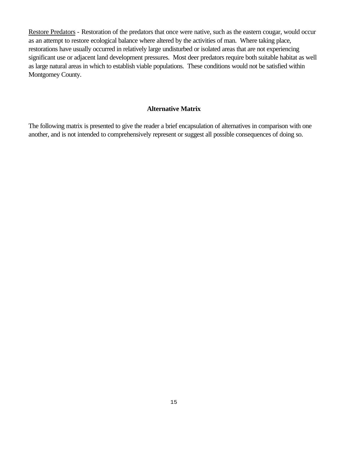Restore Predators - Restoration of the predators that once were native, such as the eastern cougar, would occur as an attempt to restore ecological balance where altered by the activities of man. Where taking place, restorations have usually occurred in relatively large undisturbed or isolated areas that are not experiencing significant use or adjacent land development pressures. Most deer predators require both suitable habitat as well as large natural areas in which to establish viable populations. These conditions would not be satisfied within Montgomey County.

#### **Alternative Matrix**

The following matrix is presented to give the reader a brief encapsulation of alternatives in comparison with one another, and is not intended to comprehensively represent or suggest all possible consequences of doing so.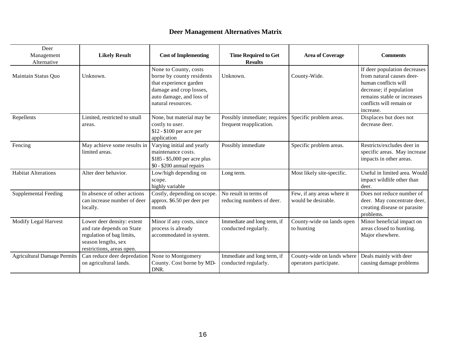# **Deer Management Alternatives Matrix**

| Deer<br>Management<br>Alternative  | <b>Likely Result</b>                                                                                                                     | <b>Cost of Implementing</b>                                                                                                                               | <b>Time Required to Get</b><br><b>Results</b>           | <b>Area of Coverage</b>                              | <b>Comments</b>                                                                                                                                                                      |
|------------------------------------|------------------------------------------------------------------------------------------------------------------------------------------|-----------------------------------------------------------------------------------------------------------------------------------------------------------|---------------------------------------------------------|------------------------------------------------------|--------------------------------------------------------------------------------------------------------------------------------------------------------------------------------------|
| Maintain Status Quo                | Unknown.                                                                                                                                 | None to County, costs<br>borne by county residents<br>that experience garden<br>damage and crop losses,<br>auto damage, and loss of<br>natural resources. | Unknown.                                                | County-Wide.                                         | If deer population decreases<br>from natural causes deer-<br>human conflicts will<br>decrease; if population<br>remains stable or increases<br>conflicts will remain or<br>increase. |
| Repellents                         | Limited, restricted to small<br>areas.                                                                                                   | None, but material may be<br>costly to user.<br>\$12 - \$100 per acre per<br>application                                                                  | Possibly immediate; requires<br>frequent reapplication. | Specific problem areas.                              | Displaces but does not<br>decrease deer.                                                                                                                                             |
| Fencing                            | May achieve some results in<br>limited areas.                                                                                            | Varying initial and yearly<br>maintenance costs.<br>\$185 - \$5,000 per acre plus<br>\$0 - \$200 annual repairs                                           | Possibly immediate                                      | Specific problem areas.                              | Restricts/excludes deer in<br>specific areas. May increase<br>impacts in other areas.                                                                                                |
| <b>Habitat Alterations</b>         | Alter deer behavior.                                                                                                                     | Low/high depending on<br>scope.<br>highly variable                                                                                                        | Long term.                                              | Most likely site-specific.                           | Useful in limited area. Would<br>impact wildlife other than<br>deer.                                                                                                                 |
| <b>Supplemental Feeding</b>        | In absence of other actions<br>can increase number of deer<br>locally.                                                                   | Costly, depending on scope.<br>approx. \$6.50 per deer per<br>month                                                                                       | No result in terms of<br>reducing numbers of deer.      | Few, if any areas where it<br>would be desirable.    | Does not reduce number of<br>deer. May concentrate deer,<br>creating disease or parasite<br>problems.                                                                                |
| Modify Legal Harvest               | Lower deer density: extent<br>and rate depends on State<br>regulation of bag limits,<br>season lengths, sex<br>restrictions, areas open. | Minor if any costs, since<br>process is already<br>accommodated in system.                                                                                | Immediate and long term, if<br>conducted regularly.     | County-wide on lands open<br>to hunting              | Minor beneficial impact on<br>areas closed to hunting.<br>Major elsewhere.                                                                                                           |
| <b>Agricultural Damage Permits</b> | Can reduce deer depredation<br>on agricultural lands.                                                                                    | None to Montgomery<br>County. Cost borne by MD-<br>DNR.                                                                                                   | Immediate and long term, if<br>conducted regularly.     | County-wide on lands where<br>operators participate. | Deals mainly with deer<br>causing damage problems                                                                                                                                    |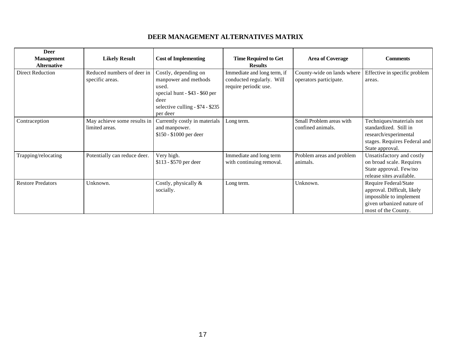# **DEER MANAGEMENT ALTERNATIVES MATRIX**

| <b>Deer</b>              |                              |                                  |                             |                            |                               |
|--------------------------|------------------------------|----------------------------------|-----------------------------|----------------------------|-------------------------------|
| <b>Management</b>        | <b>Likely Result</b>         | <b>Cost of Implementing</b>      | <b>Time Required to Get</b> | <b>Area of Coverage</b>    | <b>Comments</b>               |
| <b>Alternative</b>       |                              |                                  | <b>Results</b>              |                            |                               |
| Direct Reduction         | Reduced numbers of deer in   | Costly, depending on             | Immediate and long term, if | County-wide on lands where | Effective in specific problem |
|                          | specific areas.              | manpower and methods             | conducted regularly. Will   | operators participate.     | areas.                        |
|                          |                              | used.                            | require periodic use.       |                            |                               |
|                          |                              | special hunt - \$43 - \$60 per   |                             |                            |                               |
|                          |                              | deer                             |                             |                            |                               |
|                          |                              | selective culling - \$74 - \$235 |                             |                            |                               |
|                          |                              | per deer                         |                             |                            |                               |
| Contraception            | May achieve some results in  | Currently costly in materials    | Long term.                  | Small Problem areas with   | Techniques/materials not      |
|                          | limited areas.               | and manpower.                    |                             | confined animals.          | standardized. Still in        |
|                          |                              | \$150 - \$1000 per deer          |                             |                            | research/experimental         |
|                          |                              |                                  |                             |                            | stages. Requires Federal and  |
|                          |                              |                                  |                             |                            | State approval.               |
| Trapping/relocating      | Potentially can reduce deer. | Very high.                       | Immediate and long term     | Problem areas and problem  | Unsatisfactory and costly     |
|                          |                              | \$113 - \$570 per deer           | with continuing removal.    | animals.                   | on broad scale. Requires      |
|                          |                              |                                  |                             |                            | State approval. Few/no        |
|                          |                              |                                  |                             |                            | release sites available.      |
| <b>Restore Predators</b> | Unknown.                     | Costly, physically &             | Long term.                  | Unknown.                   | Require Federal/State         |
|                          |                              | socially.                        |                             |                            | approval. Difficult, likely   |
|                          |                              |                                  |                             |                            | impossible to implement       |
|                          |                              |                                  |                             |                            | given urbanized nature of     |
|                          |                              |                                  |                             |                            | most of the County.           |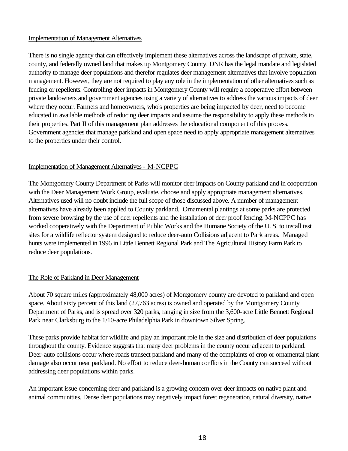#### Implementation of Management Alternatives

There is no single agency that can effectively implement these alternatives across the landscape of private, state, county, and federally owned land that makes up Montgomery County. DNR has the legal mandate and legislated authority to manage deer populations and therefor regulates deer management alternatives that involve population management. However, they are not required to play any role in the implementation of other alternatives such as fencing or repellents. Controlling deer impacts in Montgomery County will require a cooperative effort between private landowners and government agencies using a variety of alternatives to address the various impacts of deer where they occur. Farmers and homeowners, who's properties are being impacted by deer, need to become educated in available methods of reducing deer impacts and assume the responsibility to apply these methods to their properties. Part II of this management plan addresses the educational component of this process. Government agencies that manage parkland and open space need to apply appropriate management alternatives to the properties under their control.

# Implementation of Management Alternatives - M-NCPPC

The Montgomery County Department of Parks will monitor deer impacts on County parkland and in cooperation with the Deer Management Work Group, evaluate, choose and apply appropriate management alternatives. Alternatives used will no doubt include the full scope of those discussed above. A number of management alternatives have already been applied to County parkland. Ornamental plantings at some parks are protected from severe browsing by the use of deer repellents and the installation of deer proof fencing. M-NCPPC has worked cooperatively with the Department of Public Works and the Humane Society of the U. S. to install test sites for a wildlife reflector system designed to reduce deer-auto Collisions adjacent to Park areas. Managed hunts were implemented in 1996 in Little Bennett Regional Park and The Agricultural History Farm Park to reduce deer populations.

# The Role of Parkland in Deer Management

About 70 square miles (approximately 48,000 acres) of Montgomery county are devoted to parkland and open space. About sixty percent of this land (27,763 acres) is owned and operated by the Montgomery County Department of Parks, and is spread over 320 parks, ranging in size from the 3,600-acre Little Bennett Regional Park near Clarksburg to the 1/10-acre Philadelphia Park in downtown Silver Spring.

These parks provide habitat for wildlife and play an important role in the size and distribution of deer populations throughout the county. Evidence suggests that many deer problems in the county occur adjacent to parkland. Deer-auto collisions occur where roads transect parkland and many of the complaints of crop or ornamental plant damage also occur near parkland. No effort to reduce deer-human conflicts in the County can succeed without addressing deer populations within parks.

An important issue concerning deer and parkland is a growing concern over deer impacts on native plant and animal communities. Dense deer populations may negatively impact forest regeneration, natural diversity, native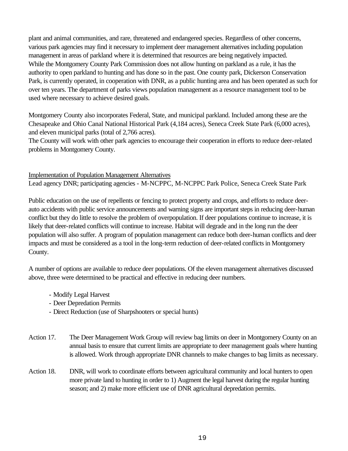plant and animal communities, and rare, threatened and endangered species. Regardless of other concerns, various park agencies may find it necessary to implement deer management alternatives including population management in areas of parkland where it is determined that resources are being negatively impacted. While the Montgomery County Park Commission does not allow hunting on parkland as a rule, it has the authority to open parkland to hunting and has done so in the past. One county park, Dickerson Conservation Park, is currently operated, in cooperation with DNR, as a public hunting area and has been operated as such for over ten years. The department of parks views population management as a resource management tool to be used where necessary to achieve desired goals.

Montgomery County also incorporates Federal, State, and municipal parkland. Included among these are the Chesapeake and Ohio Canal National Historical Park (4,184 acres), Seneca Creek State Park (6,000 acres), and eleven municipal parks (total of 2,766 acres).

The County will work with other park agencies to encourage their cooperation in efforts to reduce deer-related problems in Montgomery County.

Implementation of Population Management Alternatives Lead agency DNR; participating agencies - M-NCPPC, M-NCPPC Park Police, Seneca Creek State Park

Public education on the use of repellents or fencing to protect property and crops, and efforts to reduce deerauto accidents with public service announcements and warning signs are important steps in reducing deer-human conflict but they do little to resolve the problem of overpopulation. If deer populations continue to increase, it is likely that deer-related conflicts will continue to increase. Habitat will degrade and in the long run the deer population will also suffer. A program of population management can reduce both deer-human conflicts and deer impacts and must be considered as a tool in the long-term reduction of deer-related conflicts in Montgomery County.

A number of options are available to reduce deer populations. Of the eleven management alternatives discussed above, three were determined to be practical and effective in reducing deer numbers.

- Modify Legal Harvest
- Deer Depredation Permits
- Direct Reduction (use of Sharpshooters or special hunts)
- Action 17. The Deer Management Work Group will review bag limits on deer in Montgomery County on an annual basis to ensure that current limits are appropriate to deer management goals where hunting is allowed. Work through appropriate DNR channels to make changes to bag limits as necessary.
- Action 18. DNR, will work to coordinate efforts between agricultural community and local hunters to open more private land to hunting in order to 1) Augment the legal harvest during the regular hunting season; and 2) make more efficient use of DNR agricultural depredation permits.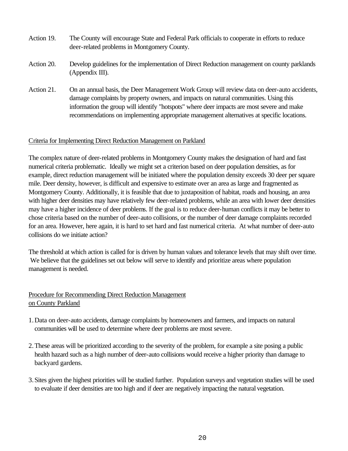- Action 19. The County will encourage State and Federal Park officials to cooperate in efforts to reduce deer-related problems in Montgomery County.
- Action 20. Develop guidelines for the implementation of Direct Reduction management on county parklands (Appendix III).
- Action 21. On an annual basis, the Deer Management Work Group will review data on deer-auto accidents, damage complaints by property owners, and impacts on natural communities. Using this information the group will identify "hotspots" where deer impacts are most severe and make recommendations on implementing appropriate management alternatives at specific locations.

#### Criteria for Implementing Direct Reduction Management on Parkland

The complex nature of deer-related problems in Montgomery County makes the designation of hard and fast numerical criteria problematic. Ideally we might set a criterion based on deer population densities, as for example, direct reduction management will be initiated where the population density exceeds 30 deer per square mile. Deer density, however, is difficult and expensive to estimate over an area as large and fragmented as Montgomery County. Additionally, it is feasible that due to juxtaposition of habitat, roads and housing, an area with higher deer densities may have relatively few deer-related problems, while an area with lower deer densities may have a higher incidence of deer problems. If the goal is to reduce deer-human conflicts it may be better to chose criteria based on the number of deer-auto collisions, or the number of deer damage complaints recorded for an area. However, here again, it is hard to set hard and fast numerical criteria. At what number of deer-auto collisions do we initiate action?

The threshold at which action is called for is driven by human values and tolerance levels that may shift over time. We believe that the guidelines set out below will serve to identify and prioritize areas where population management is needed.

# Procedure for Recommending Direct Reduction Management on County Parkland

- 1.Data on deer-auto accidents, damage complaints by homeowners and farmers, and impacts on natural communities will be used to determine where deer problems are most severe.
- 2.These areas will be prioritized according to the severity of the problem, for example a site posing a public health hazard such as a high number of deer-auto collisions would receive a higher priority than damage to backyard gardens.
- 3.Sites given the highest priorities will be studied further. Population surveys and vegetation studies will be used to evaluate if deer densities are too high and if deer are negatively impacting the natural vegetation.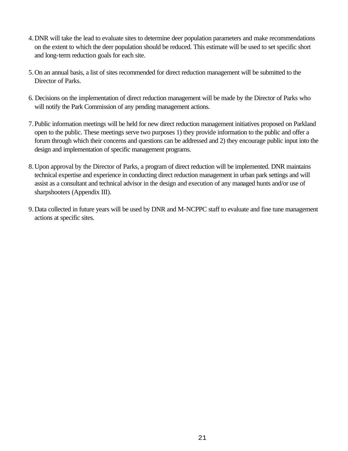- 4.DNR will take the lead to evaluate sites to determine deer population parameters and make recommendations on the extent to which the deer population should be reduced. This estimate will be used to set specific short and long-term reduction goals for each site.
- 5.On an annual basis, a list of sites recommended for direct reduction management will be submitted to the Director of Parks.
- 6. Decisions on the implementation of direct reduction management will be made by the Director of Parks who will notify the Park Commission of any pending management actions.
- 7.Public information meetings will be held for new direct reduction management initiatives proposed on Parkland open to the public. These meetings serve two purposes 1) they provide information to the public and offer a forum through which their concerns and questions can be addressed and 2) they encourage public input into the design and implementation of specific management programs.
- 8.Upon approval by the Director of Parks, a program of direct reduction will be implemented. DNR maintains technical expertise and experience in conducting direct reduction management in urban park settings and will assist as a consultant and technical advisor in the design and execution of any managed hunts and/or use of sharpshooters (Appendix III).
- 9.Data collected in future years will be used by DNR and M-NCPPC staff to evaluate and fine tune management actions at specific sites.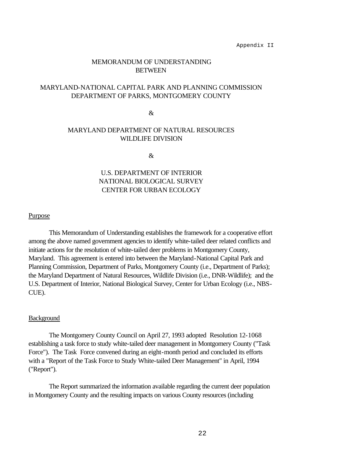Appendix II

#### MEMORANDUM OF UNDERSTANDING **BETWEEN**

#### MARYLAND-NATIONAL CAPITAL PARK AND PLANNING COMMISSION DEPARTMENT OF PARKS, MONTGOMERY COUNTY

&

#### MARYLAND DEPARTMENT OF NATURAL RESOURCES WILDLIFE DIVISION

&

# U.S. DEPARTMENT OF INTERIOR NATIONAL BIOLOGICAL SURVEY CENTER FOR URBAN ECOLOGY

#### Purpose

This Memorandum of Understanding establishes the framework for a cooperative effort among the above named government agencies to identify white-tailed deer related conflicts and initiate actions for the resolution of white-tailed deer problems in Montgomery County, Maryland. This agreement is entered into between the Maryland-National Capital Park and Planning Commission, Department of Parks, Montgomery County (i.e., Department of Parks); the Maryland Department of Natural Resources, Wildlife Division (i.e., DNR-Wildlife); and the U.S. Department of Interior, National Biological Survey, Center for Urban Ecology (i.e., NBS-CUE).

#### Background

The Montgomery County Council on April 27, 1993 adopted Resolution 12-1068 establishing a task force to study white-tailed deer management in Montgomery County ("Task Force"). The Task Force convened during an eight-month period and concluded its efforts with a "Report of the Task Force to Study White-tailed Deer Management" in April, 1994 ("Report").

The Report summarized the information available regarding the current deer population in Montgomery County and the resulting impacts on various County resources (including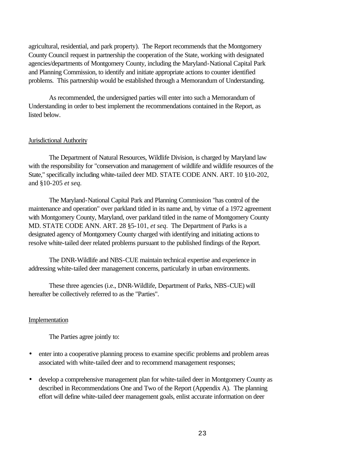agricultural, residential, and park property). The Report recommends that the Montgomery County Council request in partnership the cooperation of the State, working with designated agencies/departments of Montgomery County, including the Maryland-National Capital Park and Planning Commission, to identify and initiate appropriate actions to counter identified problems. This partnership would be established through a Memorandum of Understanding.

As recommended, the undersigned parties will enter into such a Memorandum of Understanding in order to best implement the recommendations contained in the Report, as listed below.

#### Jurisdictional Authority

The Department of Natural Resources, Wildlife Division, is charged by Maryland law with the responsibility for "conservation and management of wildlife and wildlife resources of the State," specifically including white-tailed deer MD. STATE CODE ANN. ART. 10 §10-202, and §10-205 *et seq.*

The Maryland-National Capital Park and Planning Commission "has control of the maintenance and operation" over parkland titled in its name and, by virtue of a 1972 agreement with Montgomery County, Maryland, over parkland titled in the name of Montgomery County MD. STATE CODE ANN. ART. 28 §5-101, *et seq*. The Department of Parks is a designated agency of Montgomery County charged with identifying and initiating actions to resolve white-tailed deer related problems pursuant to the published findings of the Report.

The DNR-Wildlife and NBS-CUE maintain technical expertise and experience in addressing white-tailed deer management concerns, particularly in urban environments.

These three agencies (i.e., DNR-Wildlife, Department of Parks, NBS-CUE) will hereafter be collectively referred to as the "Parties".

#### Implementation

The Parties agree jointly to:

- enter into a cooperative planning process to examine specific problems and problem areas associated with white-tailed deer and to recommend management responses;
- develop a comprehensive management plan for white-tailed deer in Montgomery County as described in Recommendations One and Two of the Report (Appendix A). The planning effort will define white-tailed deer management goals, enlist accurate information on deer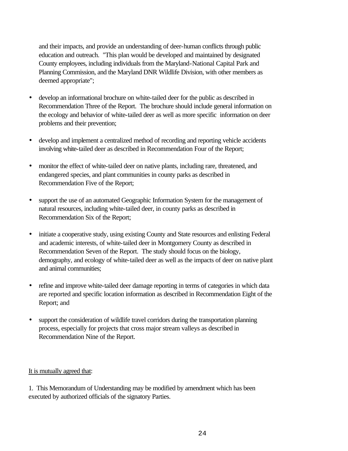and their impacts, and provide an understanding of deer-human conflicts through public education and outreach. "This plan would be developed and maintained by designated County employees, including individuals from the Maryland-National Capital Park and Planning Commission, and the Maryland DNR Wildlife Division, with other members as deemed appropriate";

- develop an informational brochure on white-tailed deer for the public as described in Recommendation Three of the Report. The brochure should include general information on the ecology and behavior of white-tailed deer as well as more specific information on deer problems and their prevention;
- develop and implement a centralized method of recording and reporting vehicle accidents involving white-tailed deer as described in Recommendation Four of the Report;
- monitor the effect of white-tailed deer on native plants, including rare, threatened, and endangered species, and plant communities in county parks as described in Recommendation Five of the Report;
- support the use of an automated Geographic Information System for the management of natural resources, including white-tailed deer, in county parks as described in Recommendation Six of the Report;
- initiate a cooperative study, using existing County and State resources and enlisting Federal and academic interests, of white-tailed deer in Montgomery County as described in Recommendation Seven of the Report. The study should focus on the biology, demography, and ecology of white-tailed deer as well as the impacts of deer on native plant and animal communities;
- refine and improve white-tailed deer damage reporting in terms of categories in which data are reported and specific location information as described in Recommendation Eight of the Report; and
- support the consideration of wildlife travel corridors during the transportation planning process, especially for projects that cross major stream valleys as described in Recommendation Nine of the Report.

#### It is mutually agreed that:

1. This Memorandum of Understanding may be modified by amendment which has been executed by authorized officials of the signatory Parties.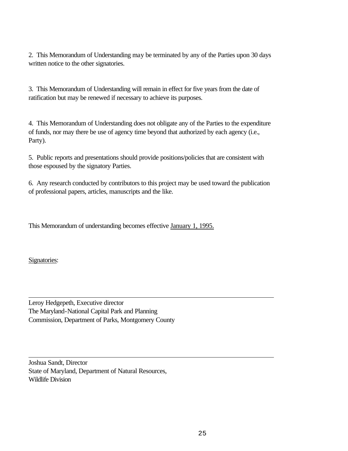2. This Memorandum of Understanding may be terminated by any of the Parties upon 30 days written notice to the other signatories.

3. This Memorandum of Understanding will remain in effect for five years from the date of ratification but may be renewed if necessary to achieve its purposes.

4. This Memorandum of Understanding does not obligate any of the Parties to the expenditure of funds, nor may there be use of agency time beyond that authorized by each agency (i.e., Party).

5. Public reports and presentations should provide positions/policies that are consistent with those espoused by the signatory Parties.

6. Any research conducted by contributors to this project may be used toward the publication of professional papers, articles, manuscripts and the like.

This Memorandum of understanding becomes effective January 1, 1995.

Signatories:

Leroy Hedgepeth, Executive director The Maryland-National Capital Park and Planning Commission, Department of Parks, Montgomery County

Joshua Sandt, Director State of Maryland, Department of Natural Resources, Wildlife Division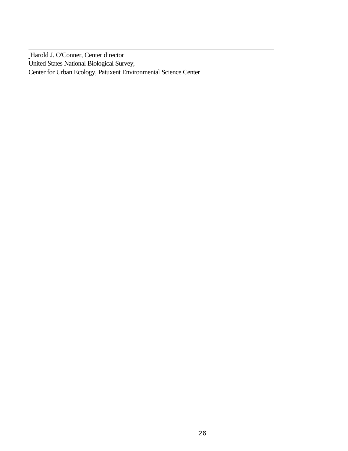Harold J. O'Conner, Center director United States National Biological Survey, Center for Urban Ecology, Patuxent Environmental Science Center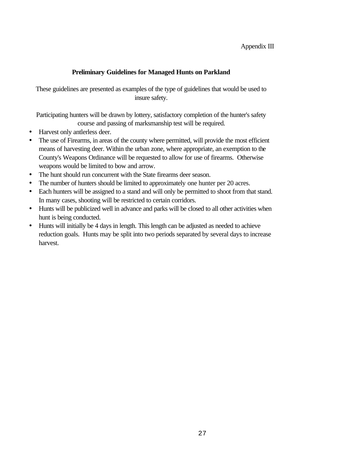#### Appendix III

# **Preliminary Guidelines for Managed Hunts on Parkland**

These guidelines are presented as examples of the type of guidelines that would be used to insure safety.

Participating hunters will be drawn by lottery, satisfactory completion of the hunter's safety course and passing of marksmanship test will be required.

- Harvest only antlerless deer.
- The use of Firearms, in areas of the county where permitted, will provide the most efficient means of harvesting deer. Within the urban zone, where appropriate, an exemption to the County's Weapons Ordinance will be requested to allow for use of firearms. Otherwise weapons would be limited to bow and arrow.
- The hunt should run concurrent with the State firearms deer season.
- The number of hunters should be limited to approximately one hunter per 20 acres.
- Each hunters will be assigned to a stand and will only be permitted to shoot from that stand. In many cases, shooting will be restricted to certain corridors.
- Hunts will be publicized well in advance and parks will be closed to all other activities when hunt is being conducted.
- Hunts will initially be 4 days in length. This length can be adjusted as needed to achieve reduction goals. Hunts may be split into two periods separated by several days to increase harvest.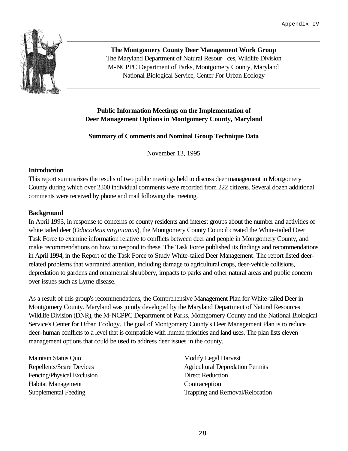

**The Montgomery County Deer Management Work Group** The Maryland Department of Natural Resour· ces, Wildlife Division M-NCPPC Department of Parks, Montgomery County, Maryland National Biological Service, Center For Urban Ecology

# **Public Information Meetings on the Implementation of Deer Management Options in Montgomery County, Maryland**

# **Summary of Comments and Nominal Group Technique Data**

November 13, 1995

#### **Introduction**

This report summarizes the results of two public meetings held to discuss deer management in Montgomery County during which over 2300 individual comments were recorded from 222 citizens. Several dozen additional comments were received by phone and mail following the meeting.

# **Background**

In April 1993, in response to concerns of county residents and interest groups about the number and activities of white tailed deer (*Odocoileus virginianus*), the Montgomery County Council created the White-tailed Deer Task Force to examine information relative to conflicts between deer and people in Montgomery County, and make recommendations on how to respond to these. The Task Force published its findings and recommendations in April 1994, in the Report of the Task Force to Study White-tailed Deer Management. The report listed deerrelated problems that warranted attention, including damage to agricultural crops, deer-vehicle collisions, depredation to gardens and ornamental shrubbery, impacts to parks and other natural areas and public concern over issues such as Lyme disease.

As a result of this group's recommendations, the Comprehensive Management Plan for White-tailed Deer in Montgomery County. Maryland was jointly developed by the Maryland Department of Natural Resources Wildlife Division (DNR), the M-NCPPC Department of Parks, Montgomery County and the National Biological Service's Center for Urban Ecology. The goal of Montgomery County's Deer Management Plan is to reduce deer-human conflicts to a level that is compatible with human priorities and land uses. The plan lists eleven management options that could be used to address deer issues in the county.

Maintain Status Quo Repellents/Scare Devices Fencing/Physical Exclusion Habitat Management Supplemental Feeding

Modify Legal Harvest Agricultural Depredation Permits Direct Reduction **Contraception** Trapping and Removal/Relocation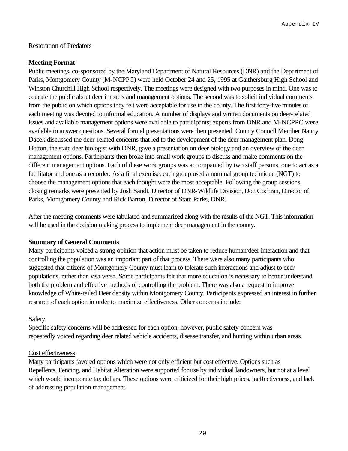#### Restoration of Predators

#### **Meeting Format**

Public meetings, co-sponsored by the Maryland Department of Natural Resources (DNR) and the Department of Parks, Montgomery County (M-NCPPC) were held October 24 and 25, 1995 at Gaithersburg High School and Winston Churchill High School respectively. The meetings were designed with two purposes in mind. One was to educate the public about deer impacts and management options. The second was to solicit individual comments from the public on which options they felt were acceptable for use in the county. The first forty-five minutes of each meeting was devoted to informal education. A number of displays and written documents on deer-related issues and available management options were available to participants; experts from DNR and M-NCPPC were available to answer questions. Several formal presentations were then presented. County Council Member Nancy Dacek discussed the deer-related concerns that led to the development of the deer management plan. Dong Hotton, the state deer biologist with DNR, gave a presentation on deer biology and an overview of the deer management options. Participants then broke into small work groups to discuss and make comments on the different management options. Each of these work groups was accompanied by two staff persons, one to act as a facilitator and one as a recorder. As a final exercise, each group used a nominal group technique (NGT) to choose the management options that each thought were the most acceptable. Following the group sessions, closing remarks were presented by Josh Sandt, Director of DNR-Wildlife Division, Don Cochran, Director of Parks, Montgomery County and Rick Barton, Director of State Parks, DNR.

After the meeting comments were tabulated and summarized along with the results of the NGT. This information will be used in the decision making process to implement deer management in the county.

#### **Summary of General Comments**

Many participants voiced a strong opinion that action must be taken to reduce human/deer interaction and that controlling the population was an important part of that process. There were also many participants who suggested that citizens of Montgomery County must learn to tolerate such interactions and adjust to deer populations, rather than visa versa. Some participants felt that more education is necessary to better understand both the problem and effective methods of controlling the problem. There was also a request to improve knowledge of White-tailed Deer density within Montgomery County. Participants expressed an interest in further research of each option in order to maximize effectiveness. Other concerns include:

# Safety

Specific safety concerns will be addressed for each option, however, public safety concern was repeatedly voiced regarding deer related vehicle accidents, disease transfer, and hunting within urban areas.

#### Cost effectiveness

Many participants favored options which were not only efficient but cost effective. Options such as Repellents, Fencing, and Habitat Alteration were supported for use by individual landowners, but not at a level which would incorporate tax dollars. These options were criticized for their high prices, ineffectiveness, and lack of addressing population management.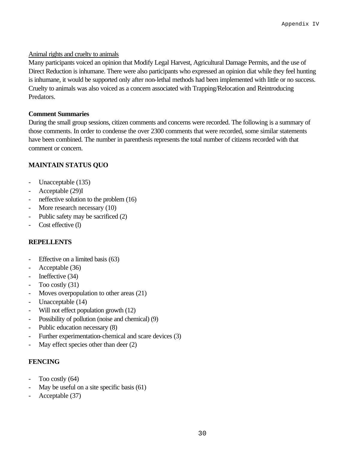#### Animal rights and cruelty to animals

Many participants voiced an opinion that Modify Legal Harvest, Agricultural Damage Permits, and the use of Direct Reduction is inhumane. There were also participants who expressed an opinion diat while they feel hunting is inhumane, it would be supported only after non-lethal methods had been implemented with little or no success. Cruelty to animals was also voiced as a concern associated with Trapping/Relocation and Reintroducing Predators.

#### **Comment Summaries**

During the small group sessions, citizen comments and concerns were recorded. The following is a summary of those comments. In order to condense the over 2300 comments that were recorded, some similar statements have been combined. The number in parenthesis represents the total number of citizens recorded with that comment or concern.

# **MAINTAIN STATUS QUO**

- Unacceptable (135)
- Acceptable (29)I
- neffective solution to the problem  $(16)$
- More research necessary (10)
- Public safety may be sacrificed (2)
- Cost effective (l)

# **REPELLENTS**

- Effective on a limited basis (63)
- Acceptable (36)
- Ineffective (34)
- Too costly (31)
- Moves overpopulation to other areas (21)
- Unacceptable (14)
- Will not effect population growth (12)
- Possibility of pollution (noise and chemical) (9)
- Public education necessary (8)
- Further experimentation-chemical and scare devices (3)
- May effect species other than deer  $(2)$

# **FENCING**

- Too costly  $(64)$
- May be useful on a site specific basis (61)
- Acceptable (37)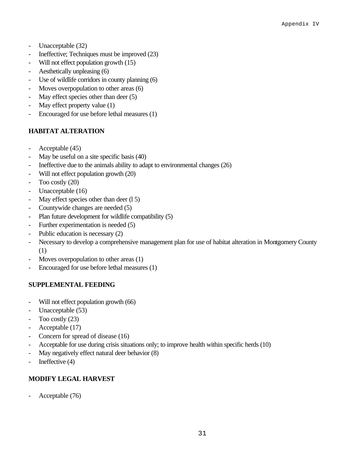- Unacceptable (32)
- Ineffective; Techniques must be improved  $(23)$
- Will not effect population growth (15)
- Aesthetically unpleasing (6)
- Use of wildlife corridors in county planning (6)
- Moves overpopulation to other areas (6)
- May effect species other than deer (5)
- May effect property value (1)
- Encouraged for use before lethal measures (1)

# **HABITAT ALTERATION**

- Acceptable (45)
- May be useful on a site specific basis (40)
- Ineffective due to the animals ability to adapt to environmental changes (26)
- Will not effect population growth (20)
- Too costly (20)
- Unacceptable (16)
- May effect species other than deer (15)
- Countywide changes are needed (5)
- Plan future development for wildlife compatibility (5)
- Further experimentation is needed (5)
- Public education is necessary (2)
- Necessary to develop a comprehensive management plan for use of habitat alteration in Montgomery County (1)
- Moves overpopulation to other areas (1)
- Encouraged for use before lethal measures (1)

# **SUPPLEMENTAL FEEDING**

- Will not effect population growth (66)
- Unacceptable (53)
- Too costly (23)
- Acceptable (17)
- Concern for spread of disease (16)
- Acceptable for use during crisis situations only; to improve health within specific herds (10)
- May negatively effect natural deer behavior (8)
- Ineffective (4)

# **MODIFY LEGAL HARVEST**

Acceptable (76)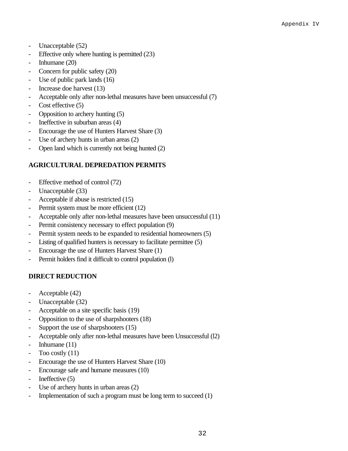- Unacceptable (52)
- Effective only where hunting is permitted (23)
- Inhumane (20)
- Concern for public safety (20)
- Use of public park lands (16)
- Increase doe harvest (13)
- Acceptable only after non-lethal measures have been unsuccessful (7)
- Cost effective (5)
- Opposition to archery hunting (5)
- Ineffective in suburban areas (4)
- Encourage the use of Hunters Harvest Share (3)
- Use of archery hunts in urban areas (2)
- Open land which is currently not being hunted (2)

# **AGRICULTURAL DEPREDATION PERMITS**

- Effective method of control (72)
- Unacceptable (33)
- Acceptable if abuse is restricted (15)
- Permit system must be more efficient (12)
- Acceptable only after non-lethal measures have been unsuccessful (11)
- Permit consistency necessary to effect population (9)
- Permit system needs to be expanded to residential homeowners (5)
- Listing of qualified hunters is necessary to facilitate permittee (5)
- Encourage the use of Hunters Harvest Share (1)
- Permit holders find it difficult to control population (1)

# **DIRECT REDUCTION**

- Acceptable (42)
- Unacceptable (32)
- Acceptable on a site specific basis (19)
- Opposition to the use of sharpshooters (18)
- Support the use of sharpshooters (15)
- Acceptable only after non-lethal measures have been Unsuccessful (l2)
- Inhumane (11)
- Too costly  $(11)$
- Encourage the use of Hunters Harvest Share (10)
- Encourage safe and humane measures (10)
- Ineffective  $(5)$
- Use of archery hunts in urban areas (2)
- Implementation of such a program must be long term to succeed  $(1)$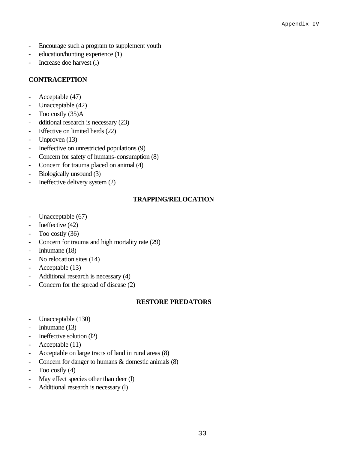- Encourage such a program to supplement youth
- education/hunting experience (1)
- Increase doe harvest (1)

# **CONTRACEPTION**

- Acceptable (47)
- Unacceptable (42)
- Too costly (35)A
- dditional research is necessary (23)
- Effective on limited herds (22)
- Unproven (13)
- Ineffective on unrestricted populations (9)
- Concern for safety of humans-consumption (8)
- Concern for trauma placed on animal (4)
- Biologically unsound (3)
- Ineffective delivery system  $(2)$

# **TRAPPING/RELOCATION**

- Unacceptable (67)
- Ineffective (42)
- Too costly (36)
- Concern for trauma and high mortality rate (29)
- Inhumane (18)
- No relocation sites (14)
- Acceptable (13)
- Additional research is necessary (4)
- Concern for the spread of disease (2)

# **RESTORE PREDATORS**

- Unacceptable (130)
- Inhumane (13)
- Ineffective solution (12)
- Acceptable (11)
- Acceptable on large tracts of land in rural areas (8)
- Concern for danger to humans & domestic animals  $(8)$
- Too costly (4)
- May effect species other than deer (l)
- Additional research is necessary (l)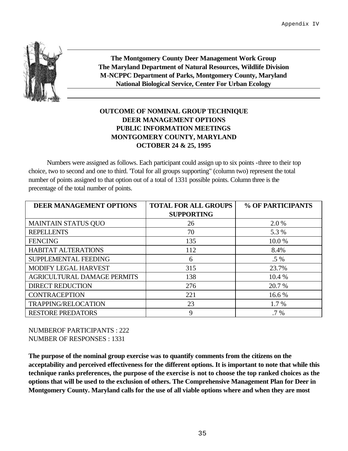

**The Montgomery County Deer Management Work Group The Maryland Department of Natural Resources, Wildlife Division M-NCPPC Department of Parks, Montgomery County, Maryland National Biological Service, Center For Urban Ecology**

# **OUTCOME OF NOMINAL GROUP TECHNIQUE DEER MANAGEMENT OPTIONS PUBLIC INFORMATION MEETINGS MONTGOMERY COUNTY, MARYLAND OCTOBER 24 & 25, 1995**

Numbers were assigned as follows. Each participant could assign up to six points -three to their top choice, two to second and one to third. 'Total for all groups supporting" (column two) represent the total number of points assigned to that option out of a total of 1331 possible points. Column three is the precentage of the total number of points.

| <b>DEER MANAGEMENT OPTIONS</b>     | <b>TOTAL FOR ALL GROUPS</b> | % OF PARTICIPANTS |
|------------------------------------|-----------------------------|-------------------|
|                                    | <b>SUPPORTING</b>           |                   |
| <b>MAINTAIN STATUS QUO</b>         | 26                          | 2.0 %             |
| <b>REPELLENTS</b>                  | 70                          | 5.3 %             |
| <b>FENCING</b>                     | 135                         | 10.0%             |
| <b>HABITAT ALTERATIONS</b>         | 112                         | 8.4%              |
| SUPPLEMENTAL FEEDING               | 6                           | $.5\%$            |
| MODIFY LEGAL HARVEST               | 315                         | 23.7%             |
| <b>AGRICULTURAL DAMAGE PERMITS</b> | 138                         | 10.4 %            |
| <b>DIRECT REDUCTION</b>            | 276                         | 20.7 %            |
| <b>CONTRACEPTION</b>               | 221                         | 16.6 %            |
| <b>TRAPPING/RELOCATION</b>         | 23                          | $1.7\%$           |
| <b>RESTORE PREDATORS</b>           | 9                           | .7 %              |

NUMBEROF PARTICIPANTS : 222 NUMBER OF RESPONSES : 1331

**The purpose of the nominal group exercise was to quantify comments from the citizens on the acceptability and perceived effectiveness for the different options. It is important to note that while this technique ranks preferences, the purpose of the exercise is not to choose the top ranked choices as the options that will be used to the exclusion of others. The Comprehensive Management Plan for Deer in Montgomery County. Maryland calls for the use of all viable options where and when they are most**